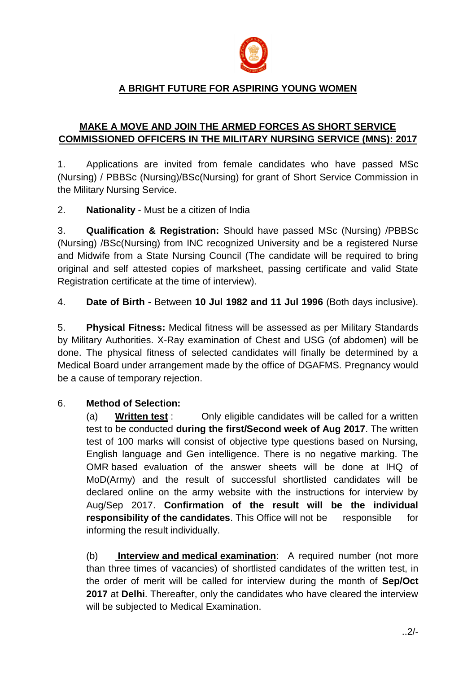

## **A BRIGHT FUTURE FOR ASPIRING YOUNG WOMEN**

## **MAKE A MOVE AND JOIN THE ARMED FORCES AS SHORT SERVICE COMMISSIONED OFFICERS IN THE MILITARY NURSING SERVICE (MNS): 2017**

1. Applications are invited from female candidates who have passed MSc (Nursing) / PBBSc (Nursing)/BSc(Nursing) for grant of Short Service Commission in the Military Nursing Service.

2. **Nationality** - Must be a citizen of India

3. **Qualification & Registration:** Should have passed MSc (Nursing) /PBBSc (Nursing) /BSc(Nursing) from INC recognized University and be a registered Nurse and Midwife from a State Nursing Council (The candidate will be required to bring original and self attested copies of marksheet, passing certificate and valid State Registration certificate at the time of interview).

4. **Date of Birth -** Between **10 Jul 1982 and 11 Jul 1996** (Both days inclusive).

5. **Physical Fitness:** Medical fitness will be assessed as per Military Standards by Military Authorities. X-Ray examination of Chest and USG (of abdomen) will be done. The physical fitness of selected candidates will finally be determined by a Medical Board under arrangement made by the office of DGAFMS. Pregnancy would be a cause of temporary rejection.

## 6. **Method of Selection:**

(a) **Written test** : Only eligible candidates will be called for a written test to be conducted **during the first/Second week of Aug 2017**. The written test of 100 marks will consist of objective type questions based on Nursing, English language and Gen intelligence. There is no negative marking. The OMR based evaluation of the answer sheets will be done at IHQ of MoD(Army) and the result of successful shortlisted candidates will be declared online on the army website with the instructions for interview by Aug/Sep 2017. **Confirmation of the result will be the individual responsibility of the candidates**. This Office will not be responsible for informing the result individually.

(b) **Interview and medical examination**: A required number (not more than three times of vacancies) of shortlisted candidates of the written test, in the order of merit will be called for interview during the month of **Sep/Oct 2017** at **Delhi**. Thereafter, only the candidates who have cleared the interview will be subjected to Medical Examination.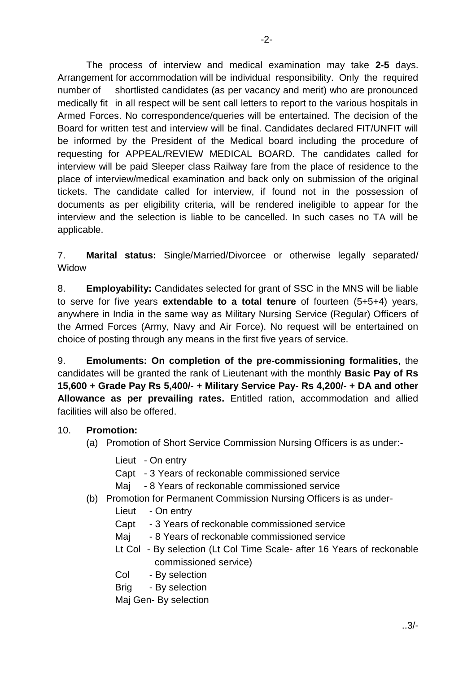The process of interview and medical examination may take **2-5** days. Arrangement for accommodation will be individual responsibility. Only the required number of shortlisted candidates (as per vacancy and merit) who are pronounced medically fit in all respect will be sent call letters to report to the various hospitals in Armed Forces. No correspondence/queries will be entertained. The decision of the Board for written test and interview will be final. Candidates declared FIT/UNFIT will be informed by the President of the Medical board including the procedure of requesting for APPEAL/REVIEW MEDICAL BOARD. The candidates called for interview will be paid Sleeper class Railway fare from the place of residence to the place of interview/medical examination and back only on submission of the original tickets. The candidate called for interview, if found not in the possession of documents as per eligibility criteria, will be rendered ineligible to appear for the interview and the selection is liable to be cancelled. In such cases no TA will be applicable.

7. **Marital status:** Single/Married/Divorcee or otherwise legally separated/ Widow

8. **Employability:** Candidates selected for grant of SSC in the MNS will be liable to serve for five years **extendable to a total tenure** of fourteen (5+5+4) years, anywhere in India in the same way as Military Nursing Service (Regular) Officers of the Armed Forces (Army, Navy and Air Force). No request will be entertained on choice of posting through any means in the first five years of service.

9. **Emoluments: On completion of the pre-commissioning formalities**, the candidates will be granted the rank of Lieutenant with the monthly **Basic Pay of Rs 15,600 + Grade Pay Rs 5,400/- + Military Service Pay- Rs 4,200/- + DA and other Allowance as per prevailing rates.** Entitled ration, accommodation and allied facilities will also be offered.

- 10. **Promotion:**
	- (a) Promotion of Short Service Commission Nursing Officers is as under:-
		- Lieut On entry
		- Capt 3 Years of reckonable commissioned service
		- Mai 8 Years of reckonable commissioned service
	- (b) Promotion for Permanent Commission Nursing Officers is as under-
		- Lieut On entry
		- Capt 3 Years of reckonable commissioned service
		- Maj 8 Years of reckonable commissioned service
		- Lt Col By selection (Lt Col Time Scale- after 16 Years of reckonable commissioned service)
		- Col By selection
		- Brig By selection
		- Maj Gen- By selection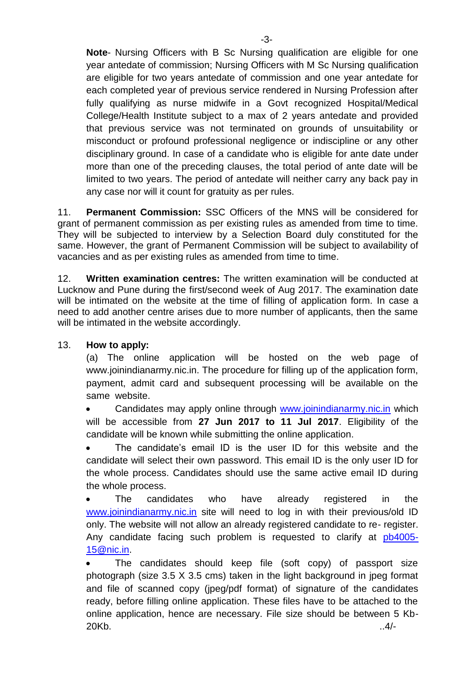**Note**- Nursing Officers with B Sc Nursing qualification are eligible for one year antedate of commission; Nursing Officers with M Sc Nursing qualification are eligible for two years antedate of commission and one year antedate for each completed year of previous service rendered in Nursing Profession after fully qualifying as nurse midwife in a Govt recognized Hospital/Medical College/Health Institute subject to a max of 2 years antedate and provided that previous service was not terminated on grounds of unsuitability or misconduct or profound professional negligence or indiscipline or any other disciplinary ground. In case of a candidate who is eligible for ante date under more than one of the preceding clauses, the total period of ante date will be limited to two years. The period of antedate will neither carry any back pay in any case nor will it count for gratuity as per rules.

11. **Permanent Commission:** SSC Officers of the MNS will be considered for grant of permanent commission as per existing rules as amended from time to time. They will be subjected to interview by a Selection Board duly constituted for the same. However, the grant of Permanent Commission will be subject to availability of vacancies and as per existing rules as amended from time to time.

12. **Written examination centres:** The written examination will be conducted at Lucknow and Pune during the first/second week of Aug 2017. The examination date will be intimated on the website at the time of filling of application form. In case a need to add another centre arises due to more number of applicants, then the same will be intimated in the website accordingly.

## 13. **How to apply:**

(a) The online application will be hosted on the web page of www.joinindianarmy.nic.in. The procedure for filling up of the application form, payment, admit card and subsequent processing will be available on the same website.

 Candidates may apply online through [www.joinindianarmy.nic.in](http://www.joinindianarmy.nic.in/) which will be accessible from **27 Jun 2017 to 11 Jul 2017**. Eligibility of the candidate will be known while submitting the online application.

 The candidate's email ID is the user ID for this website and the candidate will select their own password. This email ID is the only user ID for the whole process. Candidates should use the same active email ID during the whole process.

 The candidates who have already registered in the [www.joinindianarmy.nic.in](http://www.joinindianarmy.nic.in/) site will need to log in with their previous/old ID only. The website will not allow an already registered candidate to re- register. Any candidate facing such problem is requested to clarify at [pb4005-](mailto:pb4005-15@nic.in) [15@nic.in.](mailto:pb4005-15@nic.in)

 The candidates should keep file (soft copy) of passport size photograph (size 3.5 X 3.5 cms) taken in the light background in jpeg format and file of scanned copy (jpeg/pdf format) of signature of the candidates ready, before filling online application. These files have to be attached to the online application, hence are necessary. File size should be between 5 Kb-20Kb. ..4/-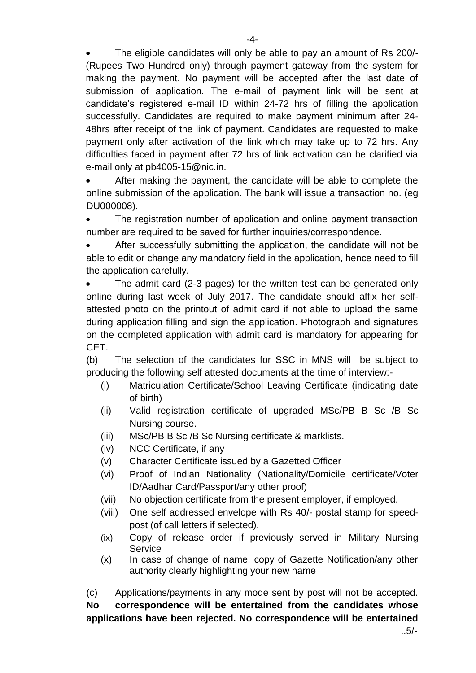The eligible candidates will only be able to pay an amount of Rs 200/- (Rupees Two Hundred only) through payment gateway from the system for making the payment. No payment will be accepted after the last date of submission of application. The e-mail of payment link will be sent at candidate's registered e-mail ID within 24-72 hrs of filling the application successfully. Candidates are required to make payment minimum after 24- 48hrs after receipt of the link of payment. Candidates are requested to make payment only after activation of the link which may take up to 72 hrs. Any difficulties faced in payment after 72 hrs of link activation can be clarified via e-mail only at pb4005-15@nic.in.

 After making the payment, the candidate will be able to complete the online submission of the application. The bank will issue a transaction no. (eg DU000008).

 The registration number of application and online payment transaction number are required to be saved for further inquiries/correspondence.

 After successfully submitting the application, the candidate will not be able to edit or change any mandatory field in the application, hence need to fill the application carefully.

 The admit card (2-3 pages) for the written test can be generated only online during last week of July 2017. The candidate should affix her selfattested photo on the printout of admit card if not able to upload the same during application filling and sign the application. Photograph and signatures on the completed application with admit card is mandatory for appearing for CET.

(b) The selection of the candidates for SSC in MNS will be subject to producing the following self attested documents at the time of interview:-

- (i) Matriculation Certificate/School Leaving Certificate (indicating date of birth)
- (ii) Valid registration certificate of upgraded MSc/PB B Sc /B Sc Nursing course.
- (iii) MSc/PB B Sc /B Sc Nursing certificate & marklists.
- (iv) NCC Certificate, if any
- (v) Character Certificate issued by a Gazetted Officer
- (vi) Proof of Indian Nationality (Nationality/Domicile certificate/Voter ID/Aadhar Card/Passport/any other proof)
- (vii) No objection certificate from the present employer, if employed.
- (viii) One self addressed envelope with Rs 40/- postal stamp for speedpost (of call letters if selected).
- (ix) Copy of release order if previously served in Military Nursing **Service**
- (x) In case of change of name, copy of Gazette Notification/any other authority clearly highlighting your new name

(c) Applications/payments in any mode sent by post will not be accepted. **No correspondence will be entertained from the candidates whose applications have been rejected. No correspondence will be entertained**